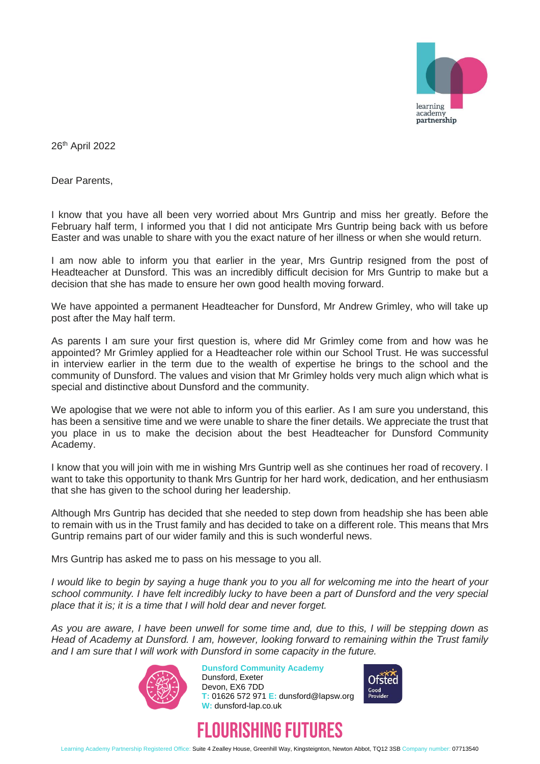

26th April 2022

Dear Parents,

I know that you have all been very worried about Mrs Guntrip and miss her greatly. Before the February half term, I informed you that I did not anticipate Mrs Guntrip being back with us before Easter and was unable to share with you the exact nature of her illness or when she would return.

I am now able to inform you that earlier in the year, Mrs Guntrip resigned from the post of Headteacher at Dunsford. This was an incredibly difficult decision for Mrs Guntrip to make but a decision that she has made to ensure her own good health moving forward.

We have appointed a permanent Headteacher for Dunsford, Mr Andrew Grimley, who will take up post after the May half term.

As parents I am sure your first question is, where did Mr Grimley come from and how was he appointed? Mr Grimley applied for a Headteacher role within our School Trust. He was successful in interview earlier in the term due to the wealth of expertise he brings to the school and the community of Dunsford. The values and vision that Mr Grimley holds very much align which what is special and distinctive about Dunsford and the community.

We apologise that we were not able to inform you of this earlier. As I am sure you understand, this has been a sensitive time and we were unable to share the finer details. We appreciate the trust that you place in us to make the decision about the best Headteacher for Dunsford Community Academy.

I know that you will join with me in wishing Mrs Guntrip well as she continues her road of recovery. I want to take this opportunity to thank Mrs Guntrip for her hard work, dedication, and her enthusiasm that she has given to the school during her leadership.

Although Mrs Guntrip has decided that she needed to step down from headship she has been able to remain with us in the Trust family and has decided to take on a different role. This means that Mrs Guntrip remains part of our wider family and this is such wonderful news.

Mrs Guntrip has asked me to pass on his message to you all.

*I would like to begin by saying a huge thank you to you all for welcoming me into the heart of your school community. I have felt incredibly lucky to have been a part of Dunsford and the very special place that it is; it is a time that I will hold dear and never forget.*

*As you are aware, I have been unwell for some time and, due to this, I will be stepping down as Head of Academy at Dunsford. I am, however, looking forward to remaining within the Trust family and I am sure that I will work with Dunsford in some capacity in the future.*



**Dunsford Community Academy** Dunsford, Exeter Devon, EX6 7DD **T:** 01626 572 971 **E:** dunsford@lapsw.org **W:** dunsford-lap.co.uk





Learning Academy Partnership Registered Office: Suite 4 Zealley House, Greenhill Way, Kingsteignton, Newton Abbot, TQ12 3SB Company number: 07713540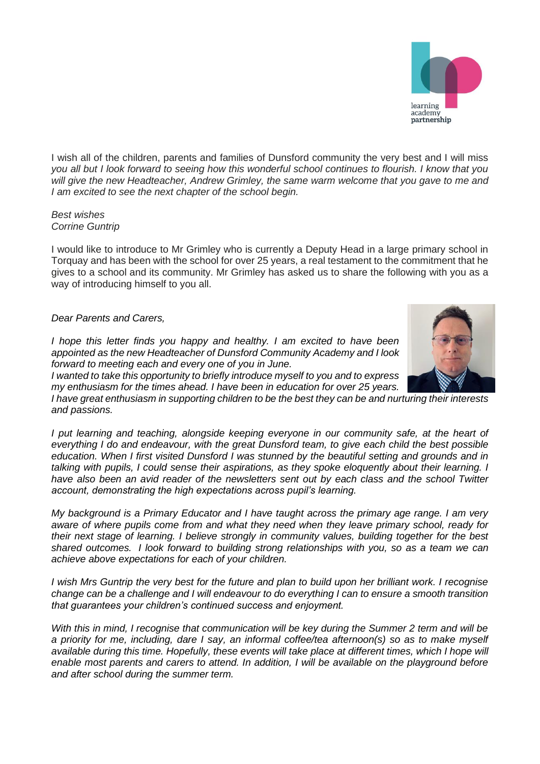

I wish all of the children, parents and families of Dunsford community the very best and I will miss *you all but I look forward to seeing how this wonderful school continues to flourish. I know that you will give the new Headteacher, Andrew Grimley, the same warm welcome that you gave to me and I am excited to see the next chapter of the school begin.*

## *Best wishes Corrine Guntrip*

I would like to introduce to Mr Grimley who is currently a Deputy Head in a large primary school in Torquay and has been with the school for over 25 years, a real testament to the commitment that he gives to a school and its community. Mr Grimley has asked us to share the following with you as a way of introducing himself to you all.

## *Dear Parents and Carers,*

*I hope this letter finds you happy and healthy. I am excited to have been appointed as the new Headteacher of Dunsford Community Academy and I look forward to meeting each and every one of you in June.*

*I wanted to take this opportunity to briefly introduce myself to you and to express my enthusiasm for the times ahead. I have been in education for over 25 years.* 

*I have great enthusiasm in supporting children to be the best they can be and nurturing their interests and passions.*

*I put learning and teaching, alongside keeping everyone in our community safe, at the heart of everything I do and endeavour, with the great Dunsford team, to give each child the best possible education. When I first visited Dunsford I was stunned by the beautiful setting and grounds and in talking with pupils, I could sense their aspirations, as they spoke eloquently about their learning. I have also been an avid reader of the newsletters sent out by each class and the school Twitter account, demonstrating the high expectations across pupil's learning.*

*My background is a Primary Educator and I have taught across the primary age range. I am very aware of where pupils come from and what they need when they leave primary school, ready for their next stage of learning. I believe strongly in community values, building together for the best shared outcomes. I look forward to building strong relationships with you, so as a team we can achieve above expectations for each of your children.*

*I* wish Mrs Guntrip the very best for the future and plan to build upon her brilliant work. I recognise *change can be a challenge and I will endeavour to do everything I can to ensure a smooth transition that guarantees your children's continued success and enjoyment.*

*With this in mind, I recognise that communication will be key during the Summer 2 term and will be a priority for me, including, dare I say, an informal coffee/tea afternoon(s) so as to make myself*  available during this time. Hopefully, these events will take place at different times, which I hope will *enable most parents and carers to attend. In addition, I will be available on the playground before and after school during the summer term.*